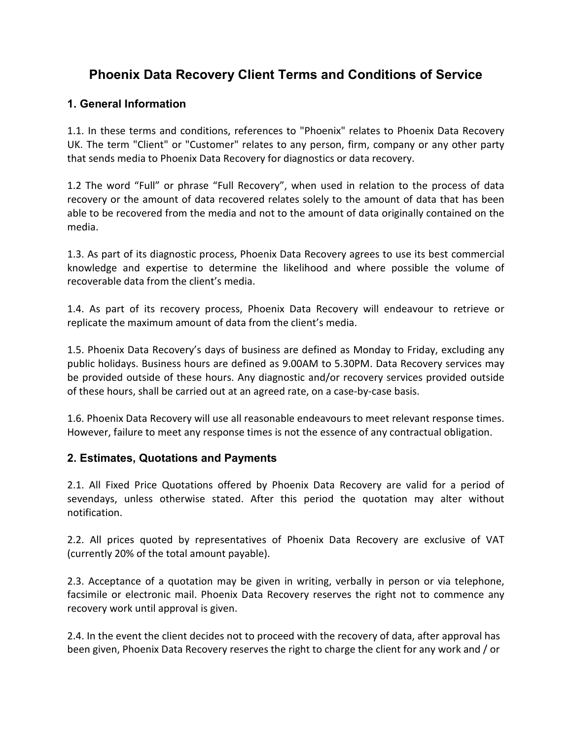# **Phoenix Data Recovery Client Terms and Conditions of Service**

#### **1. General Information**

1.1. In these terms and conditions, references to "Phoenix" relates to Phoenix Data Recovery UK. The term "Client" or "Customer" relates to any person, firm, company or any other party that sends media to Phoenix Data Recovery for diagnostics or data recovery.

1.2 The word "Full" or phrase "Full Recovery", when used in relation to the process of data recovery or the amount of data recovered relates solely to the amount of data that has been able to be recovered from the media and not to the amount of data originally contained on the media.

1.3. As part of its diagnostic process, Phoenix Data Recovery agrees to use its best commercial knowledge and expertise to determine the likelihood and where possible the volume of recoverable data from the client's media.

1.4. As part of its recovery process, Phoenix Data Recovery will endeavour to retrieve or replicate the maximum amount of data from the client's media.

1.5. Phoenix Data Recovery's days of business are defined as Monday to Friday, excluding any public holidays. Business hours are defined as 9.00AM to 5.30PM. Data Recovery services may be provided outside of these hours. Any diagnostic and/or recovery services provided outside of these hours, shall be carried out at an agreed rate, on a case-by-case basis.

1.6. Phoenix Data Recovery will use all reasonable endeavours to meet relevant response times. However, failure to meet any response times is not the essence of any contractual obligation.

#### **2. Estimates, Quotations and Payments**

2.1. All Fixed Price Quotations offered by Phoenix Data Recovery are valid for a period of sevendays, unless otherwise stated. After this period the quotation may alter without notification.

2.2. All prices quoted by representatives of Phoenix Data Recovery are exclusive of VAT (currently 20% of the total amount payable).

2.3. Acceptance of a quotation may be given in writing, verbally in person or via telephone, facsimile or electronic mail. Phoenix Data Recovery reserves the right not to commence any recovery work until approval is given.

2.4. In the event the client decides not to proceed with the recovery of data, after approval has been given, Phoenix Data Recovery reserves the right to charge the client for any work and / or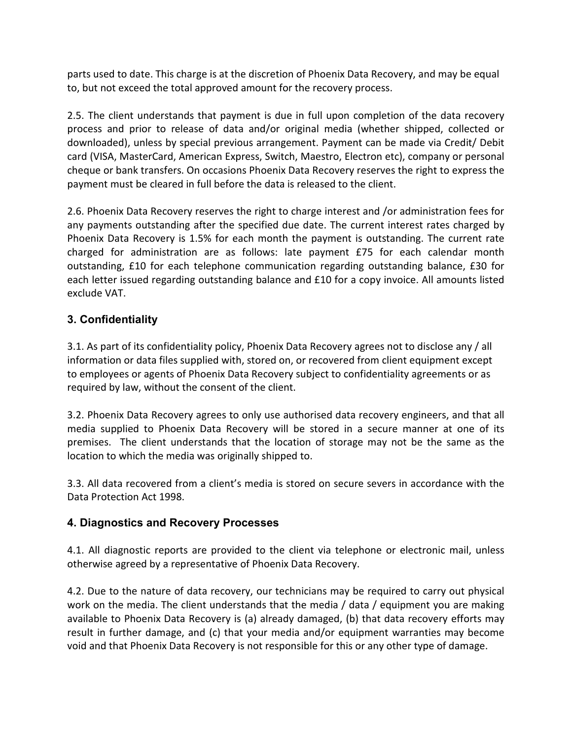parts used to date. This charge is at the discretion of Phoenix Data Recovery, and may be equal to, but not exceed the total approved amount for the recovery process.

2.5. The client understands that payment is due in full upon completion of the data recovery process and prior to release of data and/or original media (whether shipped, collected or downloaded), unless by special previous arrangement. Payment can be made via Credit/ Debit card (VISA, MasterCard, American Express, Switch, Maestro, Electron etc), company or personal cheque or bank transfers. On occasions Phoenix Data Recovery reserves the right to express the payment must be cleared in full before the data is released to the client.

2.6. Phoenix Data Recovery reserves the right to charge interest and /or administration fees for any payments outstanding after the specified due date. The current interest rates charged by Phoenix Data Recovery is 1.5% for each month the payment is outstanding. The current rate charged for administration are as follows: late payment £75 for each calendar month outstanding, £10 for each telephone communication regarding outstanding balance, £30 for each letter issued regarding outstanding balance and £10 for a copy invoice. All amounts listed exclude VAT.

### **3. Confidentiality**

3.1. As part of its confidentiality policy, Phoenix Data Recovery agrees not to disclose any / all information or data files supplied with, stored on, or recovered from client equipment except to employees or agents of Phoenix Data Recovery subject to confidentiality agreements or as required by law, without the consent of the client.

3.2. Phoenix Data Recovery agrees to only use authorised data recovery engineers, and that all media supplied to Phoenix Data Recovery will be stored in a secure manner at one of its premises. The client understands that the location of storage may not be the same as the location to which the media was originally shipped to.

3.3. All data recovered from a client's media is stored on secure severs in accordance with the Data Protection Act 1998.

#### **4. Diagnostics and Recovery Processes**

4.1. All diagnostic reports are provided to the client via telephone or electronic mail, unless otherwise agreed by a representative of Phoenix Data Recovery.

4.2. Due to the nature of data recovery, our technicians may be required to carry out physical work on the media. The client understands that the media / data / equipment you are making available to Phoenix Data Recovery is (a) already damaged, (b) that data recovery efforts may result in further damage, and (c) that your media and/or equipment warranties may become void and that Phoenix Data Recovery is not responsible for this or any other type of damage.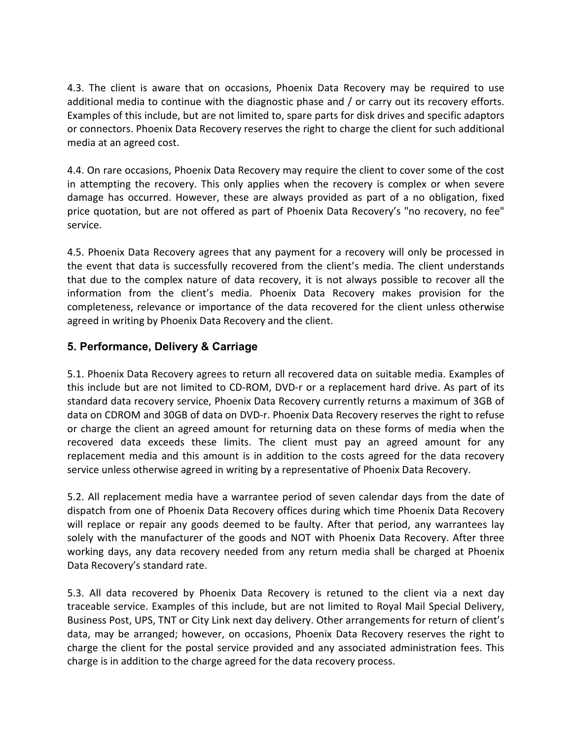4.3. The client is aware that on occasions, Phoenix Data Recovery may be required to use additional media to continue with the diagnostic phase and / or carry out its recovery efforts. Examples of this include, but are not limited to, spare parts for disk drives and specific adaptors or connectors. Phoenix Data Recovery reserves the right to charge the client for such additional media at an agreed cost.

4.4. On rare occasions, Phoenix Data Recovery may require the client to cover some of the cost in attempting the recovery. This only applies when the recovery is complex or when severe damage has occurred. However, these are always provided as part of a no obligation, fixed price quotation, but are not offered as part of Phoenix Data Recovery's "no recovery, no fee" service.

4.5. Phoenix Data Recovery agrees that any payment for a recovery will only be processed in the event that data is successfully recovered from the client's media. The client understands that due to the complex nature of data recovery, it is not always possible to recover all the information from the client's media. Phoenix Data Recovery makes provision for the completeness, relevance or importance of the data recovered for the client unless otherwise agreed in writing by Phoenix Data Recovery and the client.

#### **5. Performance, Delivery & Carriage**

5.1. Phoenix Data Recovery agrees to return all recovered data on suitable media. Examples of this include but are not limited to CD-ROM, DVD-r or a replacement hard drive. As part of its standard data recovery service, Phoenix Data Recovery currently returns a maximum of 3GB of data on CDROM and 30GB of data on DVD-r. Phoenix Data Recovery reserves the right to refuse or charge the client an agreed amount for returning data on these forms of media when the recovered data exceeds these limits. The client must pay an agreed amount for any replacement media and this amount is in addition to the costs agreed for the data recovery service unless otherwise agreed in writing by a representative of Phoenix Data Recovery.

5.2. All replacement media have a warrantee period of seven calendar days from the date of dispatch from one of Phoenix Data Recovery offices during which time Phoenix Data Recovery will replace or repair any goods deemed to be faulty. After that period, any warrantees lay solely with the manufacturer of the goods and NOT with Phoenix Data Recovery. After three working days, any data recovery needed from any return media shall be charged at Phoenix Data Recovery's standard rate.

5.3. All data recovered by Phoenix Data Recovery is retuned to the client via a next day traceable service. Examples of this include, but are not limited to Royal Mail Special Delivery, Business Post, UPS, TNT or City Link next day delivery. Other arrangements for return of client's data, may be arranged; however, on occasions, Phoenix Data Recovery reserves the right to charge the client for the postal service provided and any associated administration fees. This charge is in addition to the charge agreed for the data recovery process.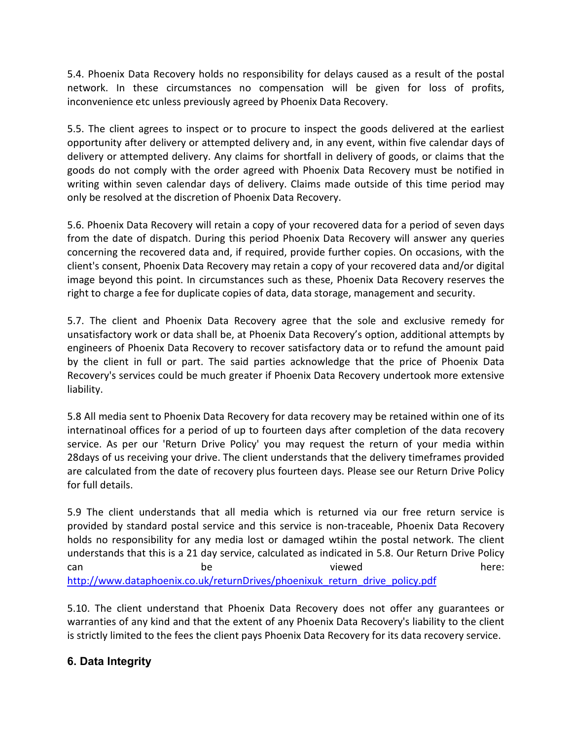5.4. Phoenix Data Recovery holds no responsibility for delays caused as a result of the postal network. In these circumstances no compensation will be given for loss of profits, inconvenience etc unless previously agreed by Phoenix Data Recovery.

5.5. The client agrees to inspect or to procure to inspect the goods delivered at the earliest opportunity after delivery or attempted delivery and, in any event, within five calendar days of delivery or attempted delivery. Any claims for shortfall in delivery of goods, or claims that the goods do not comply with the order agreed with Phoenix Data Recovery must be notified in writing within seven calendar days of delivery. Claims made outside of this time period may only be resolved at the discretion of Phoenix Data Recovery.

5.6. Phoenix Data Recovery will retain a copy of your recovered data for a period of seven days from the date of dispatch. During this period Phoenix Data Recovery will answer any queries concerning the recovered data and, if required, provide further copies. On occasions, with the client's consent, Phoenix Data Recovery may retain a copy of your recovered data and/or digital image beyond this point. In circumstances such as these, Phoenix Data Recovery reserves the right to charge a fee for duplicate copies of data, data storage, management and security.

5.7. The client and Phoenix Data Recovery agree that the sole and exclusive remedy for unsatisfactory work or data shall be, at Phoenix Data Recovery's option, additional attempts by engineers of Phoenix Data Recovery to recover satisfactory data or to refund the amount paid by the client in full or part. The said parties acknowledge that the price of Phoenix Data Recovery's services could be much greater if Phoenix Data Recovery undertook more extensive liability.

5.8 All media sent to Phoenix Data Recovery for data recovery may be retained within one of its internatinoal offices for a period of up to fourteen days after completion of the data recovery service. As per our 'Return Drive Policy' you may request the return of your media within 28days of us receiving your drive. The client understands that the delivery timeframes provided are calculated from the date of recovery plus fourteen days. Please see our Return Drive Policy for full details.

5.9 The client understands that all media which is returned via our free return service is provided by standard postal service and this service is non-traceable, Phoenix Data Recovery holds no responsibility for any media lost or damaged wtihin the postal network. The client understands that this is a 21 day service, calculated as indicated in 5.8. Our Return Drive Policy can be be viewed can here: http://www.dataphoenix.co.uk/returnDrives/phoenixuk return drive policy.pdf

5.10. The client understand that Phoenix Data Recovery does not offer any guarantees or warranties of any kind and that the extent of any Phoenix Data Recovery's liability to the client is strictly limited to the fees the client pays Phoenix Data Recovery for its data recovery service.

## **6. Data Integrity**